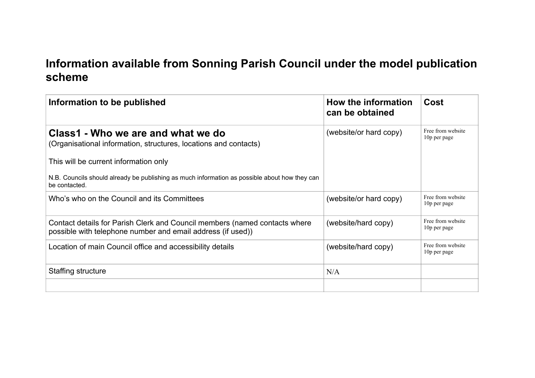## **Information available from Sonning Parish Council under the model publication scheme**

| Information to be published                                                                                                               | How the information<br>can be obtained | Cost                              |
|-------------------------------------------------------------------------------------------------------------------------------------------|----------------------------------------|-----------------------------------|
| Class1 - Who we are and what we do<br>(Organisational information, structures, locations and contacts)                                    | (website/or hard copy)                 | Free from website<br>10p per page |
| This will be current information only                                                                                                     |                                        |                                   |
| N.B. Councils should already be publishing as much information as possible about how they can<br>be contacted.                            |                                        |                                   |
| Who's who on the Council and its Committees                                                                                               | (website/or hard copy)                 | Free from website<br>10p per page |
| Contact details for Parish Clerk and Council members (named contacts where<br>possible with telephone number and email address (if used)) | (website/hard copy)                    | Free from website<br>10p per page |
| Location of main Council office and accessibility details                                                                                 | (website/hard copy)                    | Free from website<br>10p per page |
| Staffing structure                                                                                                                        | N/A                                    |                                   |
|                                                                                                                                           |                                        |                                   |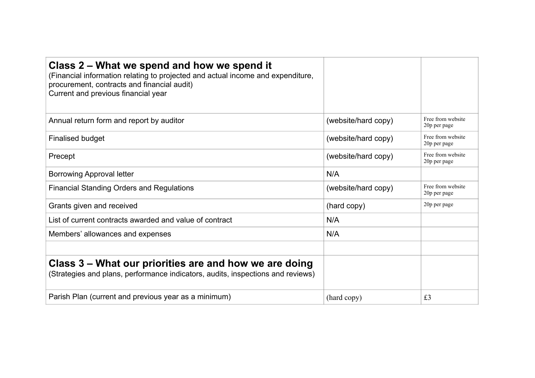| Class 2 – What we spend and how we spend it<br>(Financial information relating to projected and actual income and expenditure,<br>procurement, contracts and financial audit)<br>Current and previous financial year |                     |                                   |
|----------------------------------------------------------------------------------------------------------------------------------------------------------------------------------------------------------------------|---------------------|-----------------------------------|
| Annual return form and report by auditor                                                                                                                                                                             | (website/hard copy) | Free from website<br>20p per page |
| <b>Finalised budget</b>                                                                                                                                                                                              | (website/hard copy) | Free from website<br>20p per page |
| Precept                                                                                                                                                                                                              | (website/hard copy) | Free from website<br>20p per page |
| <b>Borrowing Approval letter</b>                                                                                                                                                                                     | N/A                 |                                   |
| <b>Financial Standing Orders and Regulations</b>                                                                                                                                                                     | (website/hard copy) | Free from website<br>20p per page |
| Grants given and received                                                                                                                                                                                            | (hard copy)         | 20p per page                      |
| List of current contracts awarded and value of contract                                                                                                                                                              | N/A                 |                                   |
| Members' allowances and expenses                                                                                                                                                                                     | N/A                 |                                   |
|                                                                                                                                                                                                                      |                     |                                   |
| Class 3 – What our priorities are and how we are doing<br>(Strategies and plans, performance indicators, audits, inspections and reviews)                                                                            |                     |                                   |
| Parish Plan (current and previous year as a minimum)                                                                                                                                                                 | (hard copy)         | £3                                |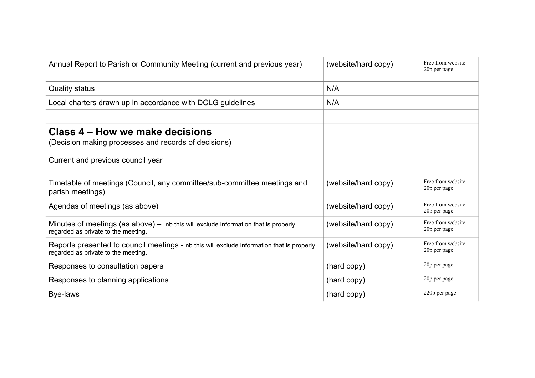| Annual Report to Parish or Community Meeting (current and previous year)                                                         | (website/hard copy) | Free from website<br>20p per page |
|----------------------------------------------------------------------------------------------------------------------------------|---------------------|-----------------------------------|
| <b>Quality status</b>                                                                                                            | N/A                 |                                   |
| Local charters drawn up in accordance with DCLG guidelines                                                                       | N/A                 |                                   |
|                                                                                                                                  |                     |                                   |
| Class 4 – How we make decisions<br>(Decision making processes and records of decisions)<br>Current and previous council year     |                     |                                   |
| Timetable of meetings (Council, any committee/sub-committee meetings and<br>parish meetings)                                     | (website/hard copy) | Free from website<br>20p per page |
| Agendas of meetings (as above)                                                                                                   | (website/hard copy) | Free from website<br>20p per page |
| Minutes of meetings (as above) – nb this will exclude information that is properly<br>regarded as private to the meeting.        | (website/hard copy) | Free from website<br>20p per page |
| Reports presented to council meetings - nb this will exclude information that is properly<br>regarded as private to the meeting. | (website/hard copy) | Free from website<br>20p per page |
| Responses to consultation papers                                                                                                 | (hard copy)         | 20p per page                      |
| Responses to planning applications                                                                                               | (hard copy)         | 20p per page                      |
| Bye-laws                                                                                                                         | (hard copy)         | 220p per page                     |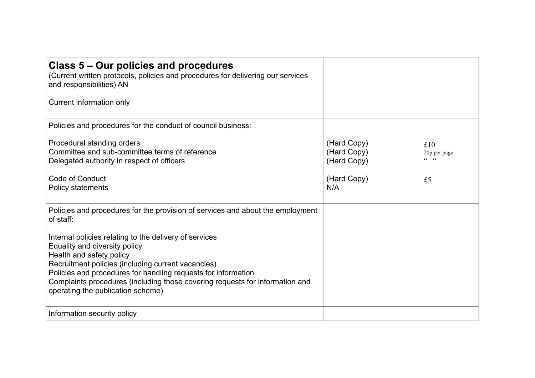| Class 5 – Our policies and procedures<br>(Current written protocols, policies and procedures for delivering our services<br>and responsibilities) AN                                                                                                                                                                                                            |                                                                 |                                        |
|-----------------------------------------------------------------------------------------------------------------------------------------------------------------------------------------------------------------------------------------------------------------------------------------------------------------------------------------------------------------|-----------------------------------------------------------------|----------------------------------------|
| Current information only                                                                                                                                                                                                                                                                                                                                        |                                                                 |                                        |
| Policies and procedures for the conduct of council business:                                                                                                                                                                                                                                                                                                    |                                                                 |                                        |
| Procedural standing orders<br>Committee and sub-committee terms of reference<br>Delegated authority in respect of officers<br>Code of Conduct<br><b>Policy statements</b>                                                                                                                                                                                       | (Hard Copy)<br>(Hard Copy)<br>(Hard Copy)<br>(Hard Copy)<br>N/A | £10<br>20p per page<br>$cc$ $cc$<br>£5 |
| Policies and procedures for the provision of services and about the employment<br>of staff:                                                                                                                                                                                                                                                                     |                                                                 |                                        |
| Internal policies relating to the delivery of services<br>Equality and diversity policy<br>Health and safety policy<br>Recruitment policies (including current vacancies)<br>Policies and procedures for handling requests for information<br>Complaints procedures (including those covering requests for information and<br>operating the publication scheme) |                                                                 |                                        |
| Information security policy                                                                                                                                                                                                                                                                                                                                     |                                                                 |                                        |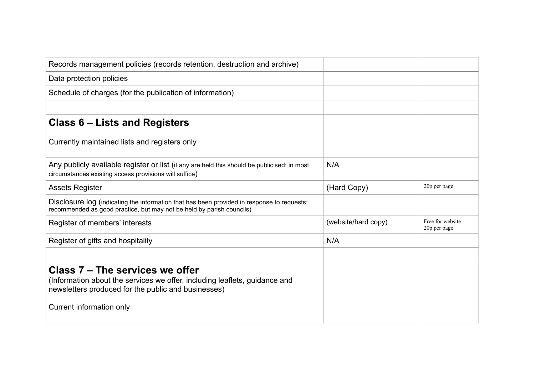| Records management policies (records retention, destruction and archive)                                                                                                                         |                     |                                  |
|--------------------------------------------------------------------------------------------------------------------------------------------------------------------------------------------------|---------------------|----------------------------------|
|                                                                                                                                                                                                  |                     |                                  |
| Data protection policies                                                                                                                                                                         |                     |                                  |
| Schedule of charges (for the publication of information)                                                                                                                                         |                     |                                  |
|                                                                                                                                                                                                  |                     |                                  |
| Class 6 – Lists and Registers                                                                                                                                                                    |                     |                                  |
| Currently maintained lists and registers only                                                                                                                                                    |                     |                                  |
| Any publicly available register or list (if any are held this should be publicised; in most<br>circumstances existing access provisions will suffice)                                            | N/A                 |                                  |
| <b>Assets Register</b>                                                                                                                                                                           | (Hard Copy)         | 20p per page                     |
| Disclosure log (indicating the information that has been provided in response to requests;<br>recommended as good practice, but may not be held by parish councils)                              |                     |                                  |
| Register of members' interests                                                                                                                                                                   | (website/hard copy) | Free for website<br>20p per page |
| Register of gifts and hospitality                                                                                                                                                                | N/A                 |                                  |
|                                                                                                                                                                                                  |                     |                                  |
| Class 7 – The services we offer<br>(Information about the services we offer, including leaflets, guidance and<br>newsletters produced for the public and businesses)<br>Current information only |                     |                                  |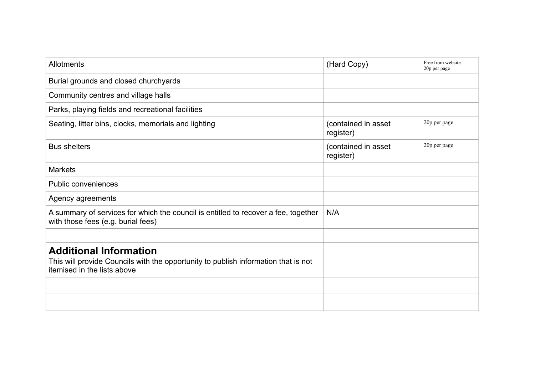| Allotments                                                                                                                                         | (Hard Copy)                      | Free from website<br>20p per page |
|----------------------------------------------------------------------------------------------------------------------------------------------------|----------------------------------|-----------------------------------|
| Burial grounds and closed churchyards                                                                                                              |                                  |                                   |
| Community centres and village halls                                                                                                                |                                  |                                   |
| Parks, playing fields and recreational facilities                                                                                                  |                                  |                                   |
| Seating, litter bins, clocks, memorials and lighting                                                                                               | (contained in asset<br>register) | 20p per page                      |
| <b>Bus shelters</b>                                                                                                                                | (contained in asset<br>register) | 20p per page                      |
| <b>Markets</b>                                                                                                                                     |                                  |                                   |
| <b>Public conveniences</b>                                                                                                                         |                                  |                                   |
| Agency agreements                                                                                                                                  |                                  |                                   |
| A summary of services for which the council is entitled to recover a fee, together<br>with those fees (e.g. burial fees)                           | N/A                              |                                   |
|                                                                                                                                                    |                                  |                                   |
| <b>Additional Information</b><br>This will provide Councils with the opportunity to publish information that is not<br>itemised in the lists above |                                  |                                   |
|                                                                                                                                                    |                                  |                                   |
|                                                                                                                                                    |                                  |                                   |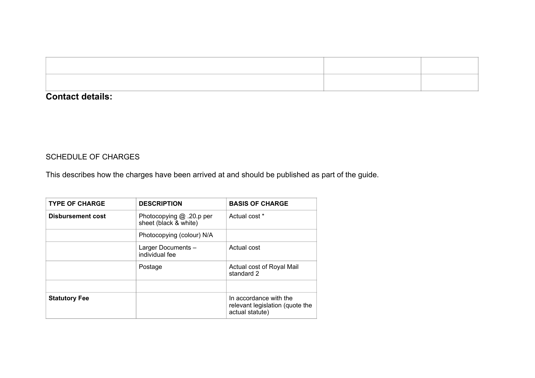## **Contact details:**

## SCHEDULE OF CHARGES

This describes how the charges have been arrived at and should be published as part of the guide.

| <b>TYPE OF CHARGE</b> | <b>DESCRIPTION</b>                                | <b>BASIS OF CHARGE</b>                                                       |
|-----------------------|---------------------------------------------------|------------------------------------------------------------------------------|
| Disbursement cost     | Photocopying @ .20.p per<br>sheet (black & white) | Actual cost *                                                                |
|                       | Photocopying (colour) N/A                         |                                                                              |
|                       | Larger Documents -<br>individual fee              | Actual cost                                                                  |
|                       | Postage                                           | Actual cost of Royal Mail<br>standard 2                                      |
|                       |                                                   |                                                                              |
| <b>Statutory Fee</b>  |                                                   | In accordance with the<br>relevant legislation (quote the<br>actual statute) |